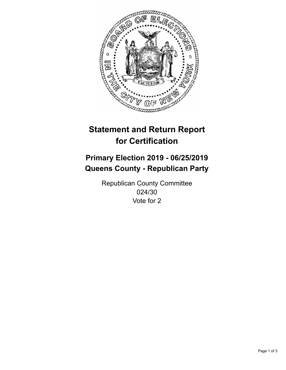

## **Statement and Return Report for Certification**

## **Primary Election 2019 - 06/25/2019 Queens County - Republican Party**

Republican County Committee 024/30 Vote for 2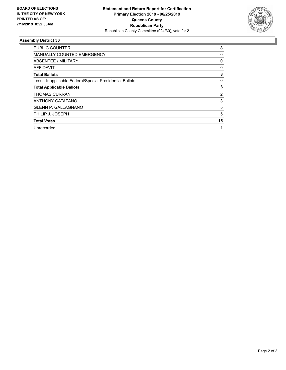

## **Assembly District 30**

| <b>PUBLIC COUNTER</b>                                    | 8  |
|----------------------------------------------------------|----|
| <b>MANUALLY COUNTED EMERGENCY</b>                        | 0  |
| ABSENTEE / MILITARY                                      | 0  |
| AFFIDAVIT                                                | 0  |
| <b>Total Ballots</b>                                     | 8  |
| Less - Inapplicable Federal/Special Presidential Ballots | 0  |
| <b>Total Applicable Ballots</b>                          | 8  |
| <b>THOMAS CURRAN</b>                                     | 2  |
| ANTHONY CATAPANO                                         | 3  |
| <b>GLENN P. GALLAGNANO</b>                               | 5  |
| PHILIP J. JOSEPH                                         | 5  |
| <b>Total Votes</b>                                       | 15 |
| Unrecorded                                               |    |